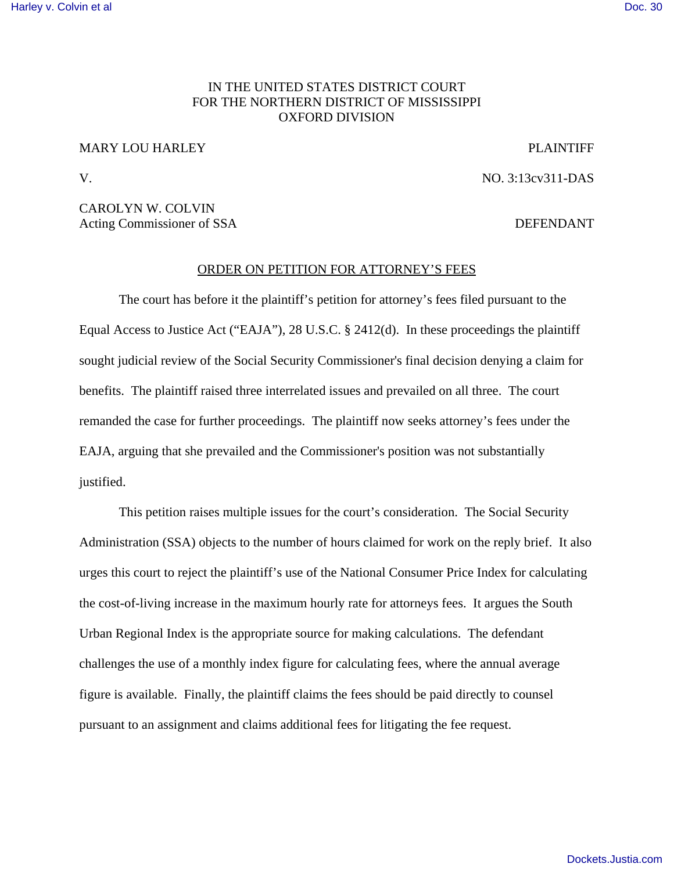## [Harley v. Colvin et al](http://dockets.justia.com/docket/mississippi/msndce/3:2013cv00311/35402/) [Doc. 30](http://docs.justia.com/cases/federal/district-courts/mississippi/msndce/3:2013cv00311/35402/30/)

# IN THE UNITED STATES DISTRICT COURT FOR THE NORTHERN DISTRICT OF MISSISSIPPI OXFORD DIVISION

# MARY LOU HARLEY PLAINTIFF

V. NO. 3:13cv311-DAS

CAROLYN W. COLVIN Acting Commissioner of SSA DEFENDANT

# ORDER ON PETITION FOR ATTORNEY'S FEES

The court has before it the plaintiff's petition for attorney's fees filed pursuant to the Equal Access to Justice Act ("EAJA"), 28 U.S.C. § 2412(d). In these proceedings the plaintiff sought judicial review of the Social Security Commissioner's final decision denying a claim for benefits. The plaintiff raised three interrelated issues and prevailed on all three. The court remanded the case for further proceedings. The plaintiff now seeks attorney's fees under the EAJA, arguing that she prevailed and the Commissioner's position was not substantially justified.

This petition raises multiple issues for the court's consideration. The Social Security Administration (SSA) objects to the number of hours claimed for work on the reply brief. It also urges this court to reject the plaintiff's use of the National Consumer Price Index for calculating the cost-of-living increase in the maximum hourly rate for attorneys fees. It argues the South Urban Regional Index is the appropriate source for making calculations. The defendant challenges the use of a monthly index figure for calculating fees, where the annual average figure is available. Finally, the plaintiff claims the fees should be paid directly to counsel pursuant to an assignment and claims additional fees for litigating the fee request.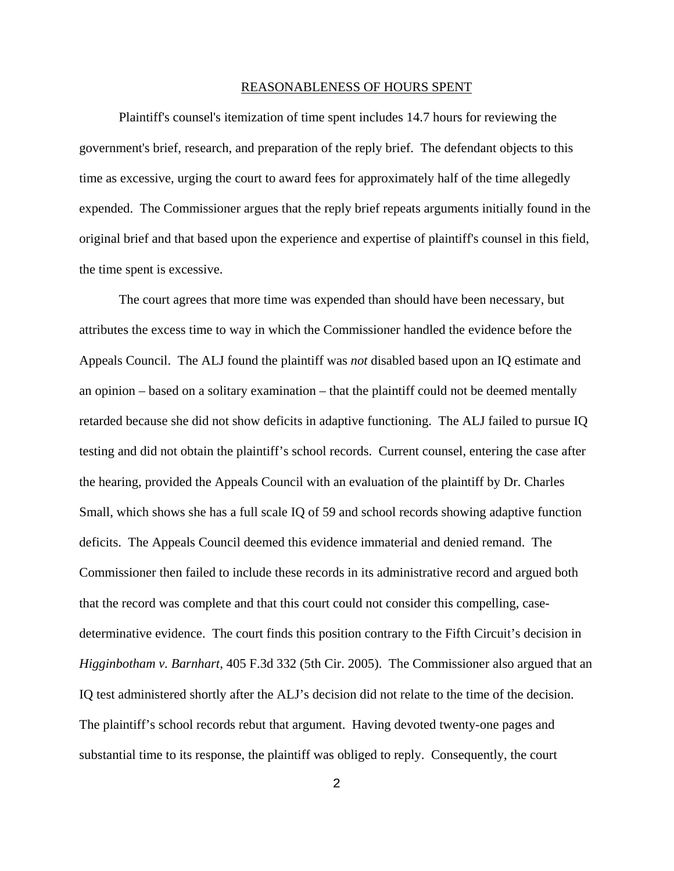#### REASONABLENESS OF HOURS SPENT

Plaintiff's counsel's itemization of time spent includes 14.7 hours for reviewing the government's brief, research, and preparation of the reply brief. The defendant objects to this time as excessive, urging the court to award fees for approximately half of the time allegedly expended. The Commissioner argues that the reply brief repeats arguments initially found in the original brief and that based upon the experience and expertise of plaintiff's counsel in this field, the time spent is excessive.

The court agrees that more time was expended than should have been necessary, but attributes the excess time to way in which the Commissioner handled the evidence before the Appeals Council. The ALJ found the plaintiff was *not* disabled based upon an IQ estimate and an opinion – based on a solitary examination – that the plaintiff could not be deemed mentally retarded because she did not show deficits in adaptive functioning. The ALJ failed to pursue IQ testing and did not obtain the plaintiff's school records. Current counsel, entering the case after the hearing, provided the Appeals Council with an evaluation of the plaintiff by Dr. Charles Small, which shows she has a full scale IQ of 59 and school records showing adaptive function deficits. The Appeals Council deemed this evidence immaterial and denied remand. The Commissioner then failed to include these records in its administrative record and argued both that the record was complete and that this court could not consider this compelling, casedeterminative evidence. The court finds this position contrary to the Fifth Circuit's decision in *Higginbotham v. Barnhart,* 405 F.3d 332 (5th Cir. 2005). The Commissioner also argued that an IQ test administered shortly after the ALJ's decision did not relate to the time of the decision. The plaintiff's school records rebut that argument. Having devoted twenty-one pages and substantial time to its response, the plaintiff was obliged to reply. Consequently, the court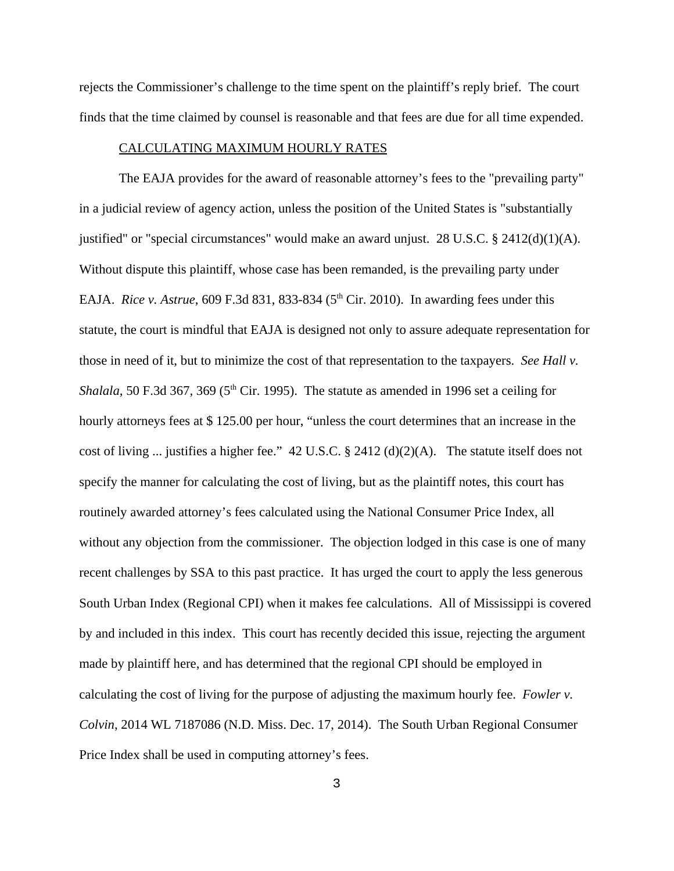rejects the Commissioner's challenge to the time spent on the plaintiff's reply brief. The court finds that the time claimed by counsel is reasonable and that fees are due for all time expended.

## CALCULATING MAXIMUM HOURLY RATES

The EAJA provides for the award of reasonable attorney's fees to the "prevailing party" in a judicial review of agency action, unless the position of the United States is "substantially justified" or "special circumstances" would make an award unjust. 28 U.S.C. § 2412(d)(1)(A). Without dispute this plaintiff, whose case has been remanded, is the prevailing party under EAJA. *Rice v. Astrue*, 609 F.3d 831, 833-834 (5<sup>th</sup> Cir. 2010). In awarding fees under this statute, the court is mindful that EAJA is designed not only to assure adequate representation for those in need of it, but to minimize the cost of that representation to the taxpayers. *See Hall v. Shalala*, 50 F.3d 367, 369 ( $5<sup>th</sup>$  Cir. 1995). The statute as amended in 1996 set a ceiling for hourly attorneys fees at \$ 125.00 per hour, "unless the court determines that an increase in the cost of living ... justifies a higher fee." 42 U.S.C. § 2412 (d)(2)(A). The statute itself does not specify the manner for calculating the cost of living, but as the plaintiff notes, this court has routinely awarded attorney's fees calculated using the National Consumer Price Index, all without any objection from the commissioner. The objection lodged in this case is one of many recent challenges by SSA to this past practice. It has urged the court to apply the less generous South Urban Index (Regional CPI) when it makes fee calculations. All of Mississippi is covered by and included in this index. This court has recently decided this issue, rejecting the argument made by plaintiff here, and has determined that the regional CPI should be employed in calculating the cost of living for the purpose of adjusting the maximum hourly fee. *Fowler v. Colvin*, 2014 WL 7187086 (N.D. Miss. Dec. 17, 2014). The South Urban Regional Consumer Price Index shall be used in computing attorney's fees.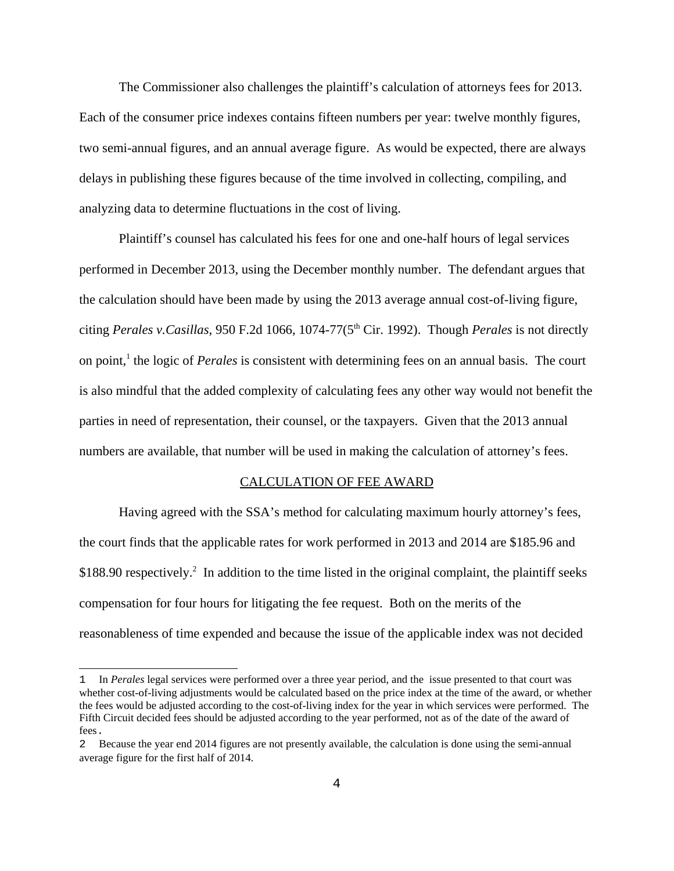The Commissioner also challenges the plaintiff's calculation of attorneys fees for 2013. Each of the consumer price indexes contains fifteen numbers per year: twelve monthly figures, two semi-annual figures, and an annual average figure. As would be expected, there are always delays in publishing these figures because of the time involved in collecting, compiling, and analyzing data to determine fluctuations in the cost of living.

Plaintiff's counsel has calculated his fees for one and one-half hours of legal services performed in December 2013, using the December monthly number. The defendant argues that the calculation should have been made by using the 2013 average annual cost-of-living figure, citing *Perales v.Casillas*, 950 F.2d 1066, 1074-77(5th Cir. 1992). Though *Perales* is not directly on point,<sup>1</sup> the logic of *Perales* is consistent with determining fees on an annual basis. The court is also mindful that the added complexity of calculating fees any other way would not benefit the parties in need of representation, their counsel, or the taxpayers. Given that the 2013 annual numbers are available, that number will be used in making the calculation of attorney's fees.

#### CALCULATION OF FEE AWARD

Having agreed with the SSA's method for calculating maximum hourly attorney's fees, the court finds that the applicable rates for work performed in 2013 and 2014 are \$185.96 and  $$188.90$  respectively.<sup>2</sup> In addition to the time listed in the original complaint, the plaintiff seeks compensation for four hours for litigating the fee request. Both on the merits of the reasonableness of time expended and because the issue of the applicable index was not decided

<sup>1</sup> In *Perales* legal services were performed over a three year period, and the issue presented to that court was whether cost-of-living adjustments would be calculated based on the price index at the time of the award, or whether the fees would be adjusted according to the cost-of-living index for the year in which services were performed. The Fifth Circuit decided fees should be adjusted according to the year performed, not as of the date of the award of fees.

<sup>2</sup> Because the year end 2014 figures are not presently available, the calculation is done using the semi-annual average figure for the first half of 2014.